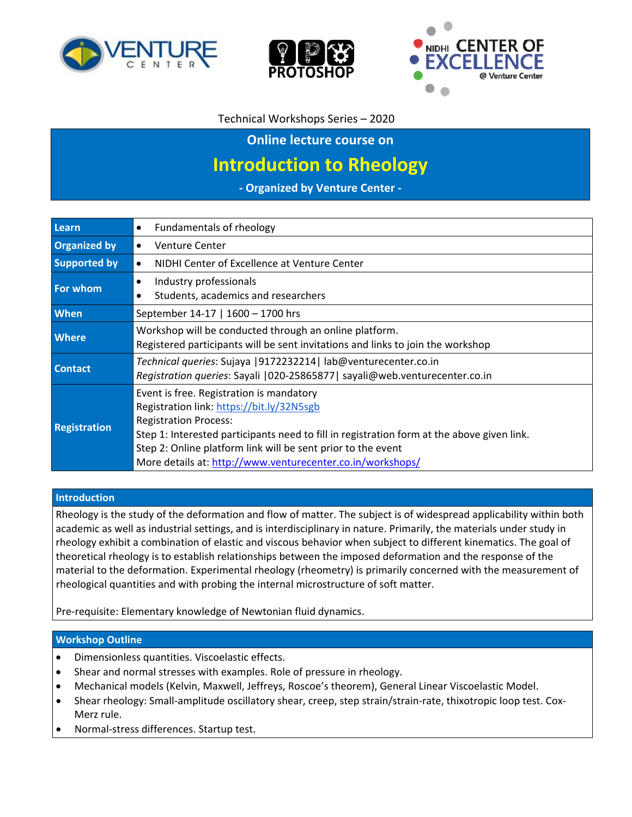





## Technical Workshops Series – 2020

**Online lecture course on**

# **Introduction to Rheology**

**‐ Organized by Venture Center ‐**

| Learn               | Fundamentals of rheology<br>$\bullet$                                                                                                                                                                                                                                                                                                             |  |
|---------------------|---------------------------------------------------------------------------------------------------------------------------------------------------------------------------------------------------------------------------------------------------------------------------------------------------------------------------------------------------|--|
| <b>Organized by</b> | Venture Center<br>$\bullet$                                                                                                                                                                                                                                                                                                                       |  |
| <b>Supported by</b> | NIDHI Center of Excellence at Venture Center<br>$\bullet$                                                                                                                                                                                                                                                                                         |  |
| <b>For whom</b>     | Industry professionals<br>$\bullet$<br>Students, academics and researchers<br>$\bullet$                                                                                                                                                                                                                                                           |  |
| <b>When</b>         | September 14-17   1600 - 1700 hrs                                                                                                                                                                                                                                                                                                                 |  |
| <b>Where</b>        | Workshop will be conducted through an online platform.<br>Registered participants will be sent invitations and links to join the workshop                                                                                                                                                                                                         |  |
| <b>Contact</b>      | Technical queries: Sujaya   9172232214   lab@venturecenter.co.in<br>Registration queries: Sayali   020-25865877   sayali@web.venturecenter.co.in                                                                                                                                                                                                  |  |
| <b>Registration</b> | Event is free. Registration is mandatory<br>Registration link: https://bit.ly/32N5sgb<br><b>Registration Process:</b><br>Step 1: Interested participants need to fill in registration form at the above given link.<br>Step 2: Online platform link will be sent prior to the event<br>More details at: http://www.venturecenter.co.in/workshops/ |  |

#### **Introduction**

Rheology is the study of the deformation and flow of matter. The subject is of widespread applicability within both academic as well as industrial settings, and is interdisciplinary in nature. Primarily, the materials under study in rheology exhibit a combination of elastic and viscous behavior when subject to different kinematics. The goal of theoretical rheology is to establish relationships between the imposed deformation and the response of the material to the deformation. Experimental rheology (rheometry) is primarily concerned with the measurement of rheological quantities and with probing the internal microstructure of soft matter.

Pre‐requisite: Elementary knowledge of Newtonian fluid dynamics.

#### **Workshop Outline**

- Dimensionless quantities. Viscoelastic effects.
- Shear and normal stresses with examples. Role of pressure in rheology.
- Mechanical models (Kelvin, Maxwell, Jeffreys, Roscoe's theorem), General Linear Viscoelastic Model.
- Shear rheology: Small-amplitude oscillatory shear, creep, step strain/strain-rate, thixotropic loop test. Cox-Merz rule.
- Normal‐stress differences. Startup test.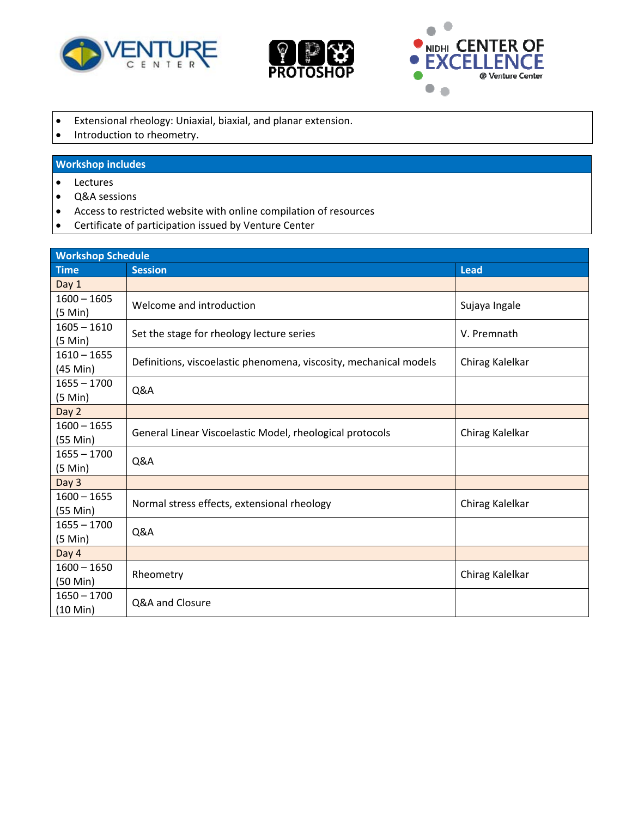





- Extensional rheology: Uniaxial, biaxial, and planar extension.
- Introduction to rheometry.

## **Workshop includes**

- Lectures
- Q&A sessions
- Access to restricted website with online compilation of resources
- Certificate of participation issued by Venture Center

| <b>Workshop Schedule</b>            |                                                                   |                 |  |
|-------------------------------------|-------------------------------------------------------------------|-----------------|--|
| <b>Time</b>                         | <b>Session</b>                                                    | <b>Lead</b>     |  |
| Day 1                               |                                                                   |                 |  |
| $1600 - 1605$<br>$(5 \text{ Min})$  | Welcome and introduction                                          | Sujaya Ingale   |  |
| $1605 - 1610$<br>$(5$ Min $)$       | Set the stage for rheology lecture series                         | V. Premnath     |  |
| $1610 - 1655$<br>$(45$ Min $)$      | Definitions, viscoelastic phenomena, viscosity, mechanical models | Chirag Kalelkar |  |
| $1655 - 1700$<br>$(5 \text{ Min})$  | Q&A                                                               |                 |  |
| Day 2                               |                                                                   |                 |  |
| $1600 - 1655$<br>$(55$ Min $)$      | General Linear Viscoelastic Model, rheological protocols          | Chirag Kalelkar |  |
| $1655 - 1700$<br>(5 Min)            | Q&A                                                               |                 |  |
| Day 3                               |                                                                   |                 |  |
| $1600 - 1655$<br>$(55$ Min $)$      | Normal stress effects, extensional rheology                       | Chirag Kalelkar |  |
| $1655 - 1700$<br>$(5$ Min $)$       | Q&A                                                               |                 |  |
| Day 4                               |                                                                   |                 |  |
| $1600 - 1650$<br>$(50 \text{ Min})$ | Rheometry                                                         | Chirag Kalelkar |  |
| $1650 - 1700$<br>$(10 \text{ Min})$ | Q&A and Closure                                                   |                 |  |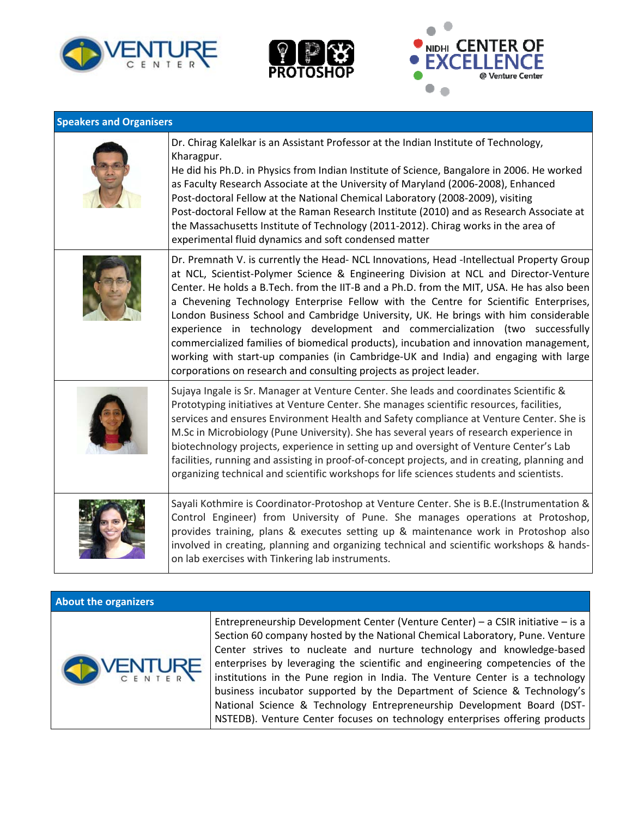





| <b>Speakers and Organisers</b> |                                                                                                                                                                                                                                                                                                                                                                                                                                                                                                                                                                                                                                                                                                                                                                                                        |  |
|--------------------------------|--------------------------------------------------------------------------------------------------------------------------------------------------------------------------------------------------------------------------------------------------------------------------------------------------------------------------------------------------------------------------------------------------------------------------------------------------------------------------------------------------------------------------------------------------------------------------------------------------------------------------------------------------------------------------------------------------------------------------------------------------------------------------------------------------------|--|
|                                | Dr. Chirag Kalelkar is an Assistant Professor at the Indian Institute of Technology,<br>Kharagpur.<br>He did his Ph.D. in Physics from Indian Institute of Science, Bangalore in 2006. He worked<br>as Faculty Research Associate at the University of Maryland (2006-2008), Enhanced<br>Post-doctoral Fellow at the National Chemical Laboratory (2008-2009), visiting<br>Post-doctoral Fellow at the Raman Research Institute (2010) and as Research Associate at<br>the Massachusetts Institute of Technology (2011-2012). Chirag works in the area of<br>experimental fluid dynamics and soft condensed matter                                                                                                                                                                                     |  |
|                                | Dr. Premnath V. is currently the Head- NCL Innovations, Head -Intellectual Property Group<br>at NCL, Scientist-Polymer Science & Engineering Division at NCL and Director-Venture<br>Center. He holds a B.Tech. from the IIT-B and a Ph.D. from the MIT, USA. He has also been<br>a Chevening Technology Enterprise Fellow with the Centre for Scientific Enterprises,<br>London Business School and Cambridge University, UK. He brings with him considerable<br>experience in technology development and commercialization (two successfully<br>commercialized families of biomedical products), incubation and innovation management,<br>working with start-up companies (in Cambridge-UK and India) and engaging with large<br>corporations on research and consulting projects as project leader. |  |
|                                | Sujaya Ingale is Sr. Manager at Venture Center. She leads and coordinates Scientific &<br>Prototyping initiatives at Venture Center. She manages scientific resources, facilities,<br>services and ensures Environment Health and Safety compliance at Venture Center. She is<br>M.Sc in Microbiology (Pune University). She has several years of research experience in<br>biotechnology projects, experience in setting up and oversight of Venture Center's Lab<br>facilities, running and assisting in proof-of-concept projects, and in creating, planning and<br>organizing technical and scientific workshops for life sciences students and scientists.                                                                                                                                        |  |
|                                | Sayali Kothmire is Coordinator-Protoshop at Venture Center. She is B.E.(Instrumentation &<br>Control Engineer) from University of Pune. She manages operations at Protoshop,<br>provides training, plans & executes setting up & maintenance work in Protoshop also<br>involved in creating, planning and organizing technical and scientific workshops & hands-<br>on lab exercises with Tinkering lab instruments.                                                                                                                                                                                                                                                                                                                                                                                   |  |

#### **About the organizers**



Entrepreneurship Development Center (Venture Center) – a CSIR initiative – is a Section 60 company hosted by the National Chemical Laboratory, Pune. Venture Center strives to nucleate and nurture technology and knowledge‐based enterprises by leveraging the scientific and engineering competencies of the institutions in the Pune region in India. The Venture Center is a technology business incubator supported by the Department of Science & Technology's National Science & Technology Entrepreneurship Development Board (DST‐ NSTEDB). Venture Center focuses on technology enterprises offering products